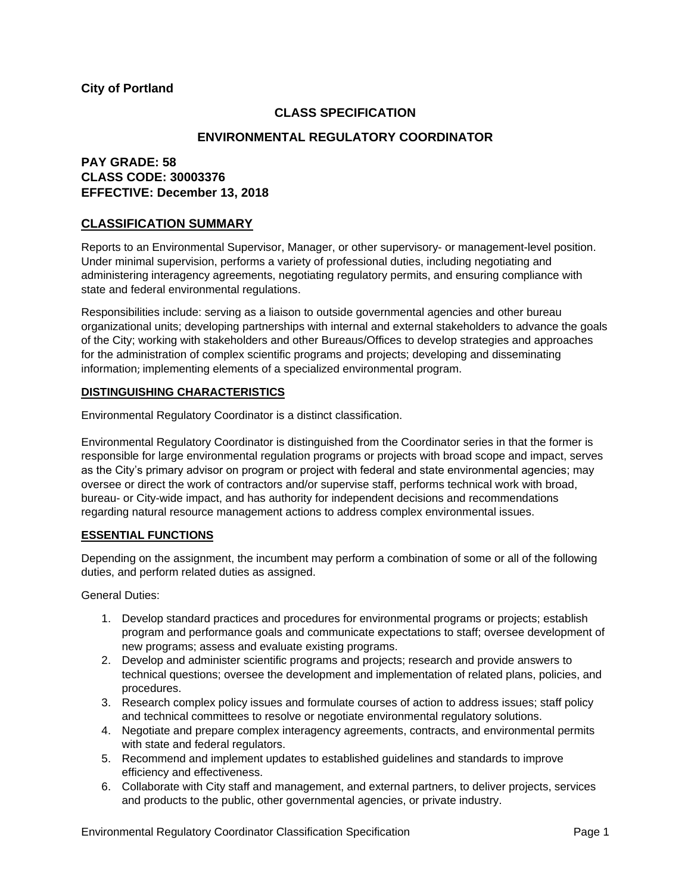## **City of Portland**

# **CLASS SPECIFICATION**

## **ENVIRONMENTAL REGULATORY COORDINATOR**

# **PAY GRADE: 58 CLASS CODE: 30003376 EFFECTIVE: December 13, 2018**

## **CLASSIFICATION SUMMARY**

Reports to an Environmental Supervisor, Manager, or other supervisory- or management-level position. Under minimal supervision, performs a variety of professional duties, including negotiating and administering interagency agreements, negotiating regulatory permits, and ensuring compliance with state and federal environmental regulations.

Responsibilities include: serving as a liaison to outside governmental agencies and other bureau organizational units; developing partnerships with internal and external stakeholders to advance the goals of the City; working with stakeholders and other Bureaus/Offices to develop strategies and approaches for the administration of complex scientific programs and projects; developing and disseminating information; implementing elements of a specialized environmental program.

### **DISTINGUISHING CHARACTERISTICS**

Environmental Regulatory Coordinator is a distinct classification.

Environmental Regulatory Coordinator is distinguished from the Coordinator series in that the former is responsible for large environmental regulation programs or projects with broad scope and impact, serves as the City's primary advisor on program or project with federal and state environmental agencies; may oversee or direct the work of contractors and/or supervise staff, performs technical work with broad, bureau- or City-wide impact, and has authority for independent decisions and recommendations regarding natural resource management actions to address complex environmental issues.

### **ESSENTIAL FUNCTIONS**

Depending on the assignment, the incumbent may perform a combination of some or all of the following duties, and perform related duties as assigned.

General Duties:

- 1. Develop standard practices and procedures for environmental programs or projects; establish program and performance goals and communicate expectations to staff; oversee development of new programs; assess and evaluate existing programs.
- 2. Develop and administer scientific programs and projects; research and provide answers to technical questions; oversee the development and implementation of related plans, policies, and procedures.
- 3. Research complex policy issues and formulate courses of action to address issues; staff policy and technical committees to resolve or negotiate environmental regulatory solutions.
- 4. Negotiate and prepare complex interagency agreements, contracts, and environmental permits with state and federal regulators.
- 5. Recommend and implement updates to established guidelines and standards to improve efficiency and effectiveness.
- 6. Collaborate with City staff and management, and external partners, to deliver projects, services and products to the public, other governmental agencies, or private industry.

Environmental Regulatory Coordinator Classification Specification Page 1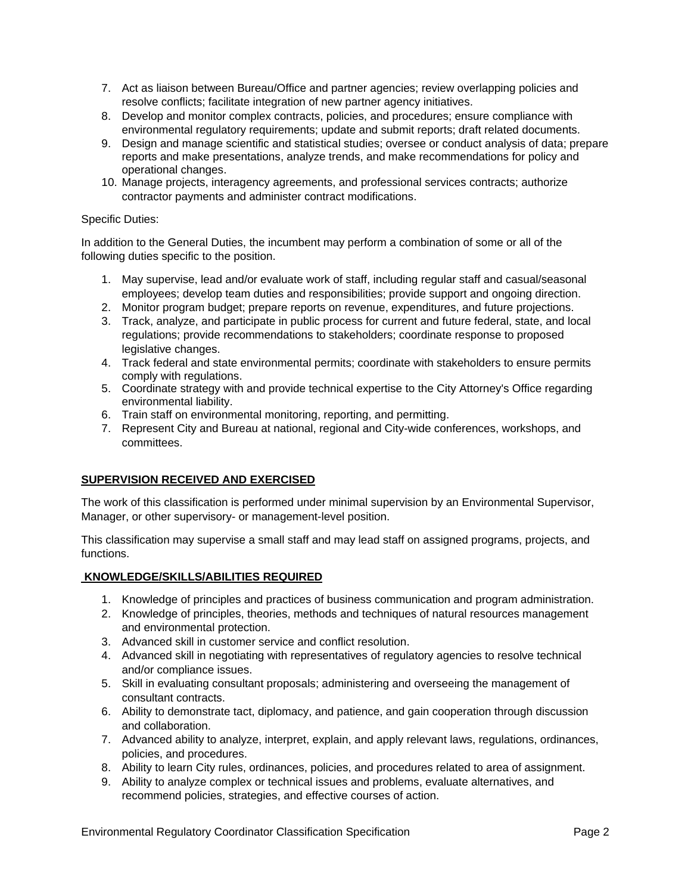- 7. Act as liaison between Bureau/Office and partner agencies; review overlapping policies and resolve conflicts; facilitate integration of new partner agency initiatives.
- 8. Develop and monitor complex contracts, policies, and procedures; ensure compliance with environmental regulatory requirements; update and submit reports; draft related documents.
- 9. Design and manage scientific and statistical studies; oversee or conduct analysis of data; prepare reports and make presentations, analyze trends, and make recommendations for policy and operational changes.
- 10. Manage projects, interagency agreements, and professional services contracts; authorize contractor payments and administer contract modifications.

### Specific Duties:

In addition to the General Duties, the incumbent may perform a combination of some or all of the following duties specific to the position.

- 1. May supervise, lead and/or evaluate work of staff, including regular staff and casual/seasonal employees; develop team duties and responsibilities; provide support and ongoing direction.
- 2. Monitor program budget; prepare reports on revenue, expenditures, and future projections.
- 3. Track, analyze, and participate in public process for current and future federal, state, and local regulations; provide recommendations to stakeholders; coordinate response to proposed legislative changes.
- 4. Track federal and state environmental permits; coordinate with stakeholders to ensure permits comply with regulations.
- 5. Coordinate strategy with and provide technical expertise to the City Attorney's Office regarding environmental liability.
- 6. Train staff on environmental monitoring, reporting, and permitting.
- 7. Represent City and Bureau at national, regional and City-wide conferences, workshops, and committees.

## **SUPERVISION RECEIVED AND EXERCISED**

The work of this classification is performed under minimal supervision by an Environmental Supervisor, Manager, or other supervisory- or management-level position.

This classification may supervise a small staff and may lead staff on assigned programs, projects, and functions.

## **KNOWLEDGE/SKILLS/ABILITIES REQUIRED**

- 1. Knowledge of principles and practices of business communication and program administration.
- 2. Knowledge of principles, theories, methods and techniques of natural resources management and environmental protection.
- 3. Advanced skill in customer service and conflict resolution.
- 4. Advanced skill in negotiating with representatives of regulatory agencies to resolve technical and/or compliance issues.
- 5. Skill in evaluating consultant proposals; administering and overseeing the management of consultant contracts.
- 6. Ability to demonstrate tact, diplomacy, and patience, and gain cooperation through discussion and collaboration.
- 7. Advanced ability to analyze, interpret, explain, and apply relevant laws, regulations, ordinances, policies, and procedures.
- 8. Ability to learn City rules, ordinances, policies, and procedures related to area of assignment.
- 9. Ability to analyze complex or technical issues and problems, evaluate alternatives, and recommend policies, strategies, and effective courses of action.